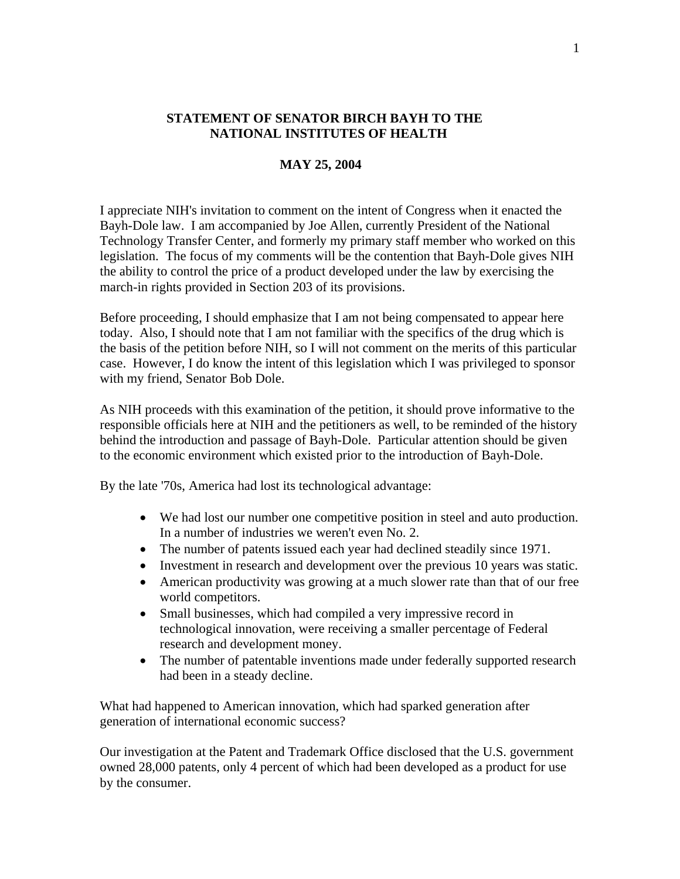## **STATEMENT OF SENATOR BIRCH BAYH TO THE NATIONAL INSTITUTES OF HEALTH**

## **MAY 25, 2004**

I appreciate NIH's invitation to comment on the intent of Congress when it enacted the Bayh-Dole law. I am accompanied by Joe Allen, currently President of the National Technology Transfer Center, and formerly my primary staff member who worked on this legislation. The focus of my comments will be the contention that Bayh-Dole gives NIH the ability to control the price of a product developed under the law by exercising the march-in rights provided in Section 203 of its provisions.

Before proceeding, I should emphasize that I am not being compensated to appear here today. Also, I should note that I am not familiar with the specifics of the drug which is the basis of the petition before NIH, so I will not comment on the merits of this particular case. However, I do know the intent of this legislation which I was privileged to sponsor with my friend, Senator Bob Dole.

As NIH proceeds with this examination of the petition, it should prove informative to the responsible officials here at NIH and the petitioners as well, to be reminded of the history behind the introduction and passage of Bayh-Dole. Particular attention should be given to the economic environment which existed prior to the introduction of Bayh-Dole.

By the late '70s, America had lost its technological advantage:

- We had lost our number one competitive position in steel and auto production. In a number of industries we weren't even No. 2.
- The number of patents issued each year had declined steadily since 1971.
- Investment in research and development over the previous 10 years was static.
- American productivity was growing at a much slower rate than that of our free world competitors.
- Small businesses, which had compiled a very impressive record in technological innovation, were receiving a smaller percentage of Federal research and development money.
- The number of patentable inventions made under federally supported research had been in a steady decline.

What had happened to American innovation, which had sparked generation after generation of international economic success?

Our investigation at the Patent and Trademark Office disclosed that the U.S. government owned 28,000 patents, only 4 percent of which had been developed as a product for use by the consumer.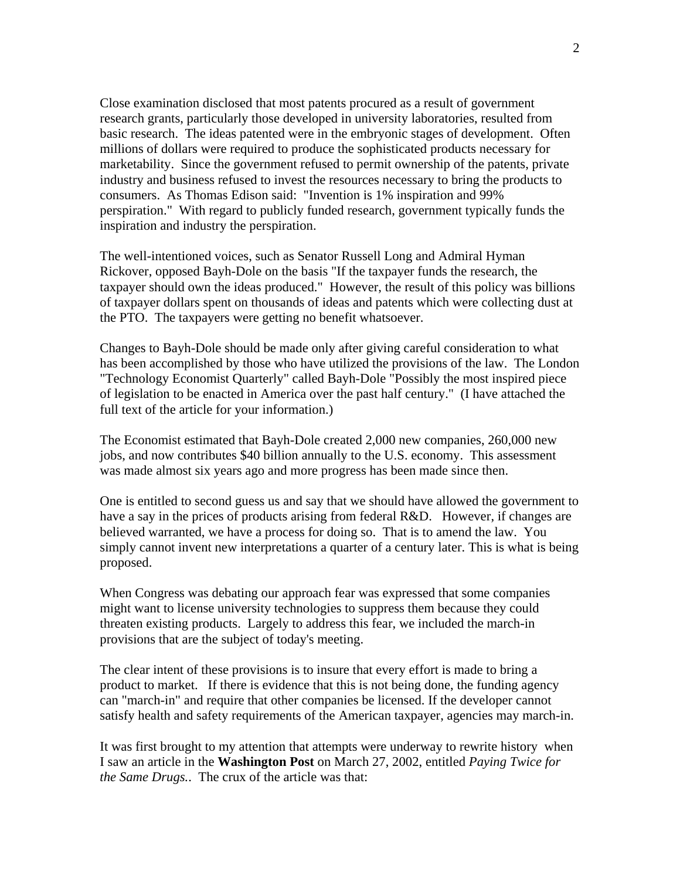Close examination disclosed that most patents procured as a result of government research grants, particularly those developed in university laboratories, resulted from basic research. The ideas patented were in the embryonic stages of development. Often millions of dollars were required to produce the sophisticated products necessary for marketability. Since the government refused to permit ownership of the patents, private industry and business refused to invest the resources necessary to bring the products to consumers. As Thomas Edison said: "Invention is 1% inspiration and 99% perspiration." With regard to publicly funded research, government typically funds the inspiration and industry the perspiration.

The well-intentioned voices, such as Senator Russell Long and Admiral Hyman Rickover, opposed Bayh-Dole on the basis "If the taxpayer funds the research, the taxpayer should own the ideas produced." However, the result of this policy was billions of taxpayer dollars spent on thousands of ideas and patents which were collecting dust at the PTO. The taxpayers were getting no benefit whatsoever.

Changes to Bayh-Dole should be made only after giving careful consideration to what has been accomplished by those who have utilized the provisions of the law. The London "Technology Economist Quarterly" called Bayh-Dole "Possibly the most inspired piece of legislation to be enacted in America over the past half century." (I have attached the full text of the article for your information.)

The Economist estimated that Bayh-Dole created 2,000 new companies, 260,000 new jobs, and now contributes \$40 billion annually to the U.S. economy. This assessment was made almost six years ago and more progress has been made since then.

One is entitled to second guess us and say that we should have allowed the government to have a say in the prices of products arising from federal R&D. However, if changes are believed warranted, we have a process for doing so. That is to amend the law. You simply cannot invent new interpretations a quarter of a century later. This is what is being proposed.

When Congress was debating our approach fear was expressed that some companies might want to license university technologies to suppress them because they could threaten existing products. Largely to address this fear, we included the march-in provisions that are the subject of today's meeting.

The clear intent of these provisions is to insure that every effort is made to bring a product to market. If there is evidence that this is not being done, the funding agency can "march-in" and require that other companies be licensed. If the developer cannot satisfy health and safety requirements of the American taxpayer, agencies may march-in.

It was first brought to my attention that attempts were underway to rewrite history when I saw an article in the **Washington Post** on March 27, 2002, entitled *Paying Twice for the Same Drugs.*. The crux of the article was that: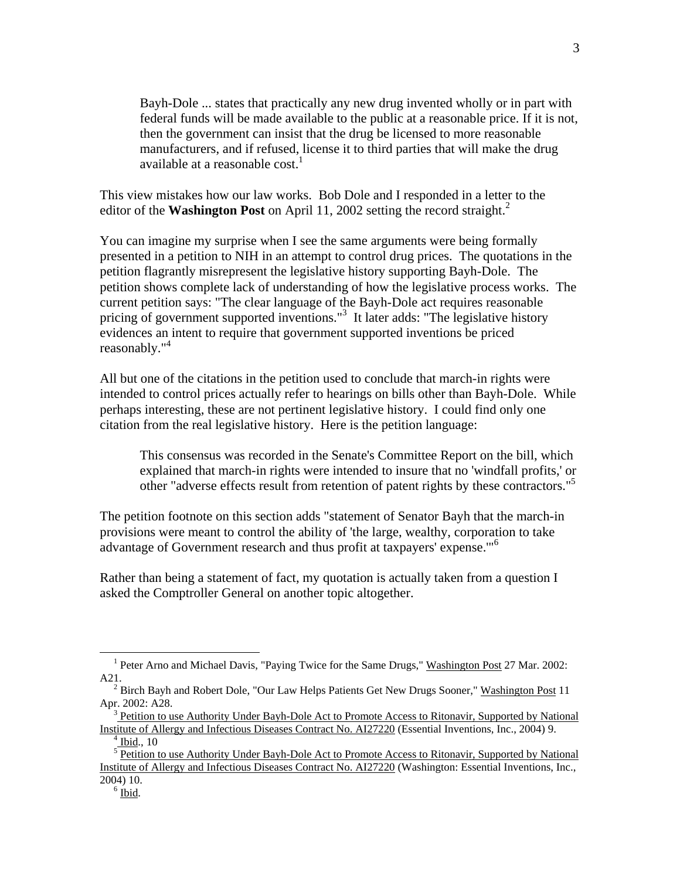Bayh-Dole ... states that practically any new drug invented wholly or in part with federal funds will be made available to the public at a reasonable price. If it is not, then the government can insist that the drug be licensed to more reasonable manufacturers, and if refused, license it to third parties that will make the drug available at a reasonable cost.<sup>1</sup>

This view mistakes how our law works. Bob Dole and I responded in a letter to the editor of the **Washington Post** on April 11, [2](#page-2-1)002 setting the record straight.<sup>2</sup>

You can imagine my surprise when I see the same arguments were being formally presented in a petition to NIH in an attempt to control drug prices. The quotations in the petition flagrantly misrepresent the legislative history supporting Bayh-Dole. The petition shows complete lack of understanding of how the legislative process works. The current petition says: "The clear language of the Bayh-Dole act requires reasonable pricing of government supported inventions."<sup>[3](#page-2-2)</sup> It later adds: "The legislative history evidences an intent to require that government supported inventions be priced reasonably."<sup>[4](#page-2-3)</sup>

All but one of the citations in the petition used to conclude that march-in rights were intended to control prices actually refer to hearings on bills other than Bayh-Dole. While perhaps interesting, these are not pertinent legislative history. I could find only one citation from the real legislative history. Here is the petition language:

This consensus was recorded in the Senate's Committee Report on the bill, which explained that march-in rights were intended to insure that no 'windfall profits,' or other "adverse effects result from retention of patent rights by these contractors."<sup>[5](#page-2-4)</sup>

The petition footnote on this section adds "statement of Senator Bayh that the march-in provisions were meant to control the ability of 'the large, wealthy, corporation to take advantage of Government research and thus profit at taxpayers' expense.'"[6](#page-2-5)

Rather than being a statement of fact, my quotation is actually taken from a question I asked the Comptroller General on another topic altogether.

 $\overline{a}$ 

<span id="page-2-0"></span><sup>&</sup>lt;sup>1</sup> Peter Arno and Michael Davis, "Paying Twice for the Same Drugs," Washington Post 27 Mar. 2002: A21.

<span id="page-2-1"></span><sup>&</sup>lt;sup>2</sup> Birch Bayh and Robert Dole, "Our Law Helps Patients Get New Drugs Sooner," Washington Post 11 Apr. 2002: A28.

<span id="page-2-2"></span><sup>3</sup> Petition to use Authority Under Bayh-Dole Act to Promote Access to Ritonavir, Supported by National Institute of Allergy and Infectious Diseases Contract No. AI27220 (Essential Inventions, Inc., 2004) 9.

<span id="page-2-3"></span> $4$  Ibid., 10

<span id="page-2-5"></span><span id="page-2-4"></span><sup>&</sup>lt;sup>5</sup> Petition to use Authority Under Bayh-Dole Act to Promote Access to Ritonavir, Supported by National Institute of Allergy and Infectious Diseases Contract No. AI27220 (Washington: Essential Inventions, Inc., 2004) 10.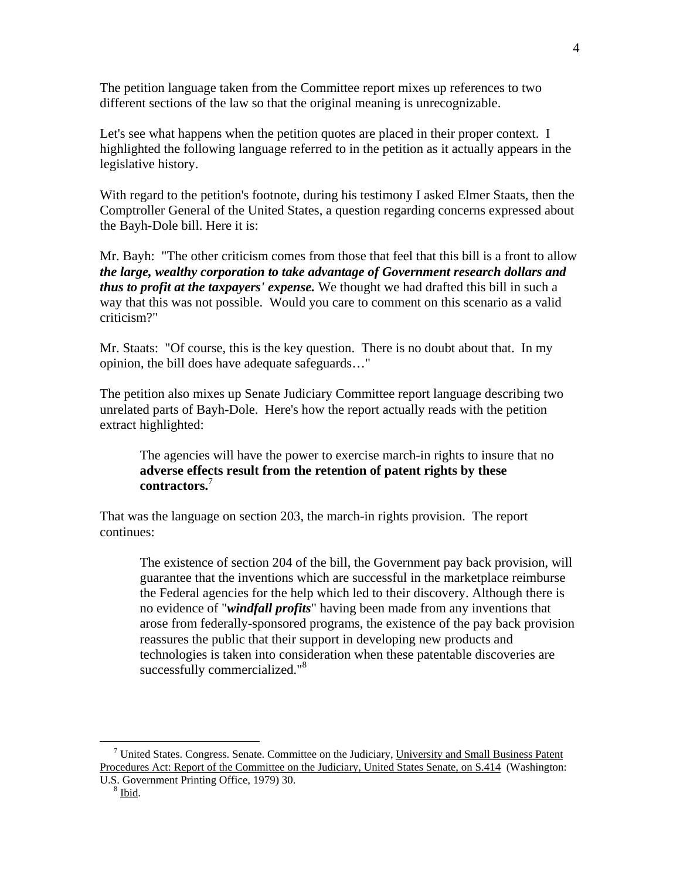The petition language taken from the Committee report mixes up references to two different sections of the law so that the original meaning is unrecognizable.

Let's see what happens when the petition quotes are placed in their proper context. I highlighted the following language referred to in the petition as it actually appears in the legislative history.

With regard to the petition's footnote, during his testimony I asked Elmer Staats, then the Comptroller General of the United States, a question regarding concerns expressed about the Bayh-Dole bill. Here it is:

Mr. Bayh: "The other criticism comes from those that feel that this bill is a front to allow *the large, wealthy corporation to take advantage of Government research dollars and thus to profit at the taxpayers' expense.* We thought we had drafted this bill in such a way that this was not possible. Would you care to comment on this scenario as a valid criticism?"

Mr. Staats: "Of course, this is the key question. There is no doubt about that. In my opinion, the bill does have adequate safeguards…"

The petition also mixes up Senate Judiciary Committee report language describing two unrelated parts of Bayh-Dole. Here's how the report actually reads with the petition extract highlighted:

The agencies will have the power to exercise march-in rights to insure that no **adverse effects result from the retention of patent rights by these contractors.**[7](#page-3-0)

That was the language on section 203, the march-in rights provision. The report continues:

The existence of section 204 of the bill, the Government pay back provision, will guarantee that the inventions which are successful in the marketplace reimburse the Federal agencies for the help which led to their discovery. Although there is no evidence of "*windfall profits*" having been made from any inventions that arose from federally-sponsored programs, the existence of the pay back provision reassures the public that their support in developing new products and technologies is taken into consideration when these patentable discoveries are successfully commercialized."<sup>8</sup>

<u>.</u>

<span id="page-3-0"></span><sup>&</sup>lt;sup>7</sup> United States. Congress. Senate. Committee on the Judiciary, University and Small Business Patent Procedures Act: Report of the Committee on the Judiciary, United States Senate, on S.414 (Washington:

U.S. Government Printing Office, 1979) 30.

<span id="page-3-1"></span><sup>8</sup> Ibid.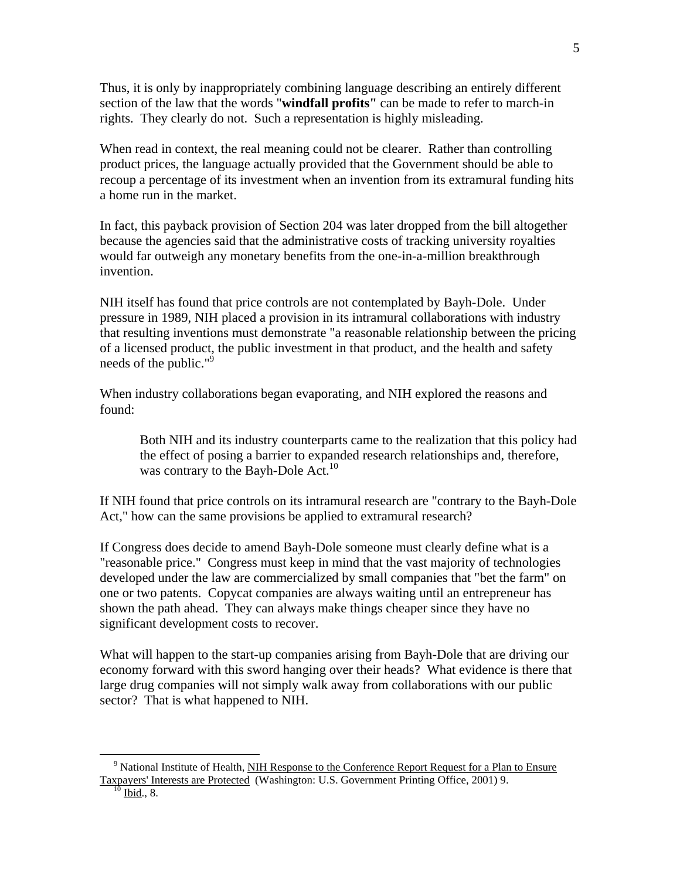Thus, it is only by inappropriately combining language describing an entirely different section of the law that the words "**windfall profits"** can be made to refer to march-in rights. They clearly do not. Such a representation is highly misleading.

When read in context, the real meaning could not be clearer. Rather than controlling product prices, the language actually provided that the Government should be able to recoup a percentage of its investment when an invention from its extramural funding hits a home run in the market.

In fact, this payback provision of Section 204 was later dropped from the bill altogether because the agencies said that the administrative costs of tracking university royalties would far outweigh any monetary benefits from the one-in-a-million breakthrough invention.

NIH itself has found that price controls are not contemplated by Bayh-Dole. Under pressure in 1989, NIH placed a provision in its intramural collaborations with industry that resulting inventions must demonstrate "a reasonable relationship between the pricing of a licensed product, the public investment in that product, and the health and safety needs of the public."[9](#page-4-0)

When industry collaborations began evaporating, and NIH explored the reasons and found:

Both NIH and its industry counterparts came to the realization that this policy had the effect of posing a barrier to expanded research relationships and, therefore, was contrary to the Bayh-Dole Act.<sup>10</sup>

If NIH found that price controls on its intramural research are "contrary to the Bayh-Dole Act," how can the same provisions be applied to extramural research?

If Congress does decide to amend Bayh-Dole someone must clearly define what is a "reasonable price." Congress must keep in mind that the vast majority of technologies developed under the law are commercialized by small companies that "bet the farm" on one or two patents. Copycat companies are always waiting until an entrepreneur has shown the path ahead. They can always make things cheaper since they have no significant development costs to recover.

What will happen to the start-up companies arising from Bayh-Dole that are driving our economy forward with this sword hanging over their heads? What evidence is there that large drug companies will not simply walk away from collaborations with our public sector? That is what happened to NIH.

5

 $\overline{a}$ 

<span id="page-4-1"></span><span id="page-4-0"></span><sup>&</sup>lt;sup>9</sup> National Institute of Health, NIH Response to the Conference Report Request for a Plan to Ensure Taxpayers' Interests are Protected (Washington: U.S. Government Printing Office, 2001) 9.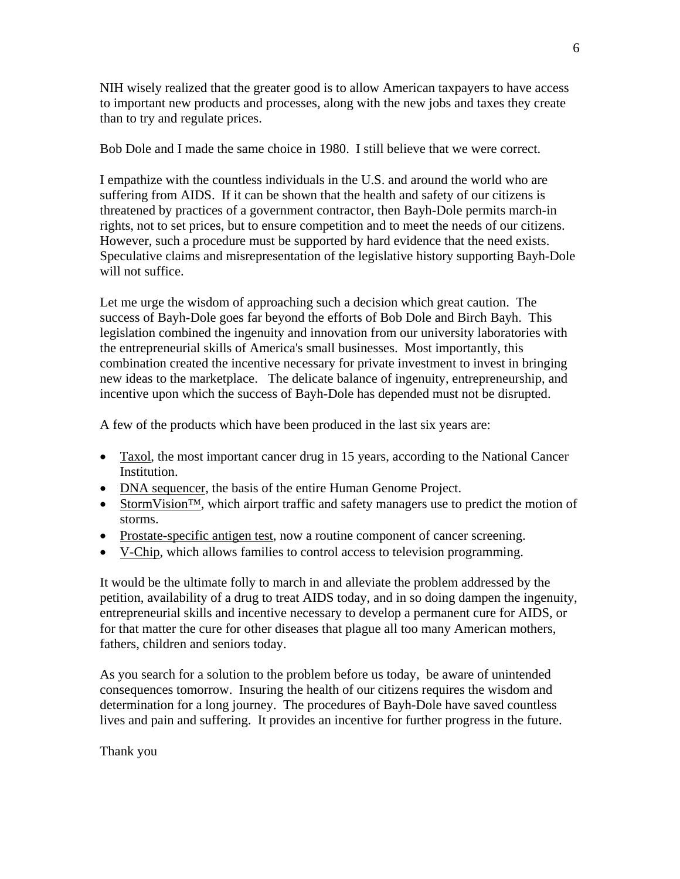NIH wisely realized that the greater good is to allow American taxpayers to have access to important new products and processes, along with the new jobs and taxes they create than to try and regulate prices.

Bob Dole and I made the same choice in 1980. I still believe that we were correct.

I empathize with the countless individuals in the U.S. and around the world who are suffering from AIDS. If it can be shown that the health and safety of our citizens is threatened by practices of a government contractor, then Bayh-Dole permits march-in rights, not to set prices, but to ensure competition and to meet the needs of our citizens. However, such a procedure must be supported by hard evidence that the need exists. Speculative claims and misrepresentation of the legislative history supporting Bayh-Dole will not suffice.

Let me urge the wisdom of approaching such a decision which great caution. The success of Bayh-Dole goes far beyond the efforts of Bob Dole and Birch Bayh. This legislation combined the ingenuity and innovation from our university laboratories with the entrepreneurial skills of America's small businesses. Most importantly, this combination created the incentive necessary for private investment to invest in bringing new ideas to the marketplace. The delicate balance of ingenuity, entrepreneurship, and incentive upon which the success of Bayh-Dole has depended must not be disrupted.

A few of the products which have been produced in the last six years are:

- Taxol, the most important cancer drug in 15 years, according to the National Cancer Institution.
- DNA sequencer, the basis of the entire Human Genome Project.
- StormVision<sup>TM</sup>, which airport traffic and safety managers use to predict the motion of storms.
- Prostate-specific antigen test, now a routine component of cancer screening.
- V-Chip, which allows families to control access to television programming.

It would be the ultimate folly to march in and alleviate the problem addressed by the petition, availability of a drug to treat AIDS today, and in so doing dampen the ingenuity, entrepreneurial skills and incentive necessary to develop a permanent cure for AIDS, or for that matter the cure for other diseases that plague all too many American mothers, fathers, children and seniors today.

As you search for a solution to the problem before us today, be aware of unintended consequences tomorrow. Insuring the health of our citizens requires the wisdom and determination for a long journey. The procedures of Bayh-Dole have saved countless lives and pain and suffering. It provides an incentive for further progress in the future.

Thank you